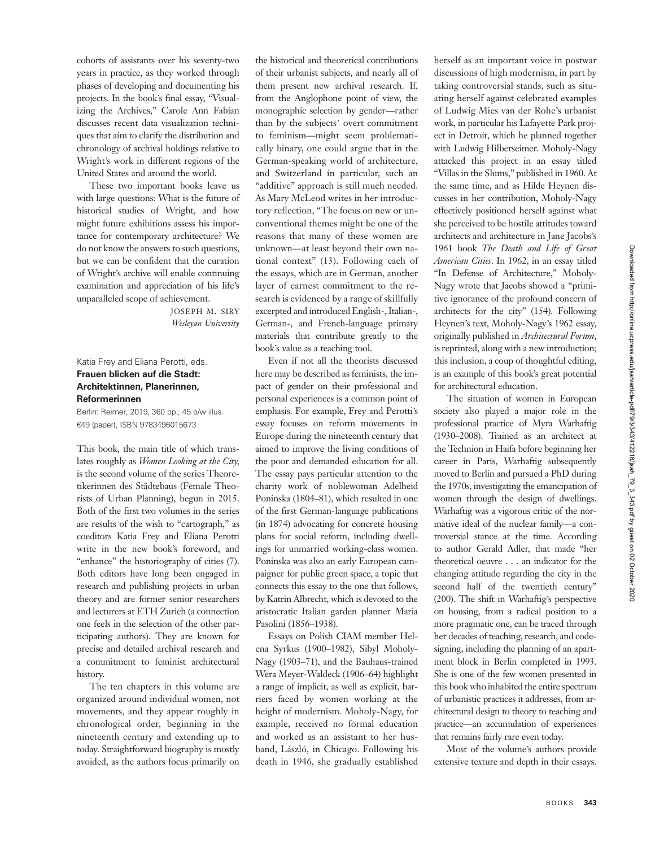cohorts of assistants over his seventy-two years in practice, as they worked through phases of developing and documenting his projects. In the book's final essay, "Visualizing the Archives," Carole Ann Fabian discusses recent data visualization techniques that aim to clarify the distribution and chronology of archival holdings relative to Wright's work in different regions of the United States and around the world.

These two important books leave us with large questions: What is the future of historical studies of Wright, and how might future exhibitions assess his importance for contemporary architecture? We do not know the answers to such questions, but we can be confident that the curation of Wright's archive will enable continuing examination and appreciation of his life's unparalleled scope of achievement.

> JOSEPH M. SIRY Wesleyan University

## Katia Frey and Eliana Perotti, eds. Frauen blicken auf die Stadt: Architektinnen, Planerinnen, Reformerinnen

Berlin: Reimer, 2019, 360 pp., 45 b/w illus. €49 (paper), ISBN 9783496015673

This book, the main title of which translates roughly as Women Looking at the City, is the second volume of the series Theoretikerinnen des Städtebaus (Female Theorists of Urban Planning), begun in 2015. Both of the first two volumes in the series are results of the wish to "cartograph," as coeditors Katia Frey and Eliana Perotti write in the new book's foreword, and "enhance" the historiography of cities (7). Both editors have long been engaged in research and publishing projects in urban theory and are former senior researchers and lecturers at ETH Zurich (a connection one feels in the selection of the other participating authors). They are known for precise and detailed archival research and a commitment to feminist architectural history.

The ten chapters in this volume are organized around individual women, not movements, and they appear roughly in chronological order, beginning in the nineteenth century and extending up to today. Straightforward biography is mostly avoided, as the authors focus primarily on the historical and theoretical contributions of their urbanist subjects, and nearly all of them present new archival research. If, from the Anglophone point of view, the monographic selection by gender—rather than by the subjects' overt commitment to feminism—might seem problematically binary, one could argue that in the German-speaking world of architecture, and Switzerland in particular, such an "additive" approach is still much needed. As Mary McLeod writes in her introductory reflection, "The focus on new or unconventional themes might be one of the reasons that many of these women are unknown—at least beyond their own national context" (13). Following each of the essays, which are in German, another layer of earnest commitment to the research is evidenced by a range of skillfully excerpted and introduced English-, Italian-, German-, and French-language primary materials that contribute greatly to the book's value as a teaching tool.

Even if not all the theorists discussed here may be described as feminists, the impact of gender on their professional and personal experiences is a common point of emphasis. For example, Frey and Perotti's essay focuses on reform movements in Europe during the nineteenth century that aimed to improve the living conditions of the poor and demanded education for all. The essay pays particular attention to the charity work of noblewoman Adelheid Poninska (1804–81), which resulted in one of the first German-language publications (in 1874) advocating for concrete housing plans for social reform, including dwellings for unmarried working-class women. Poninska was also an early European campaigner for public green space, a topic that connects this essay to the one that follows, by Katrin Albrecht, which is devoted to the aristocratic Italian garden planner Maria Pasolini (1856–1938).

Essays on Polish CIAM member Helena Syrkus (1900–1982), Sibyl Moholy-Nagy (1903–71), and the Bauhaus-trained Wera Meyer-Waldeck (1906–64) highlight a range of implicit, as well as explicit, barriers faced by women working at the height of modernism. Moholy-Nagy, for example, received no formal education and worked as an assistant to her husband, László, in Chicago. Following his death in 1946, she gradually established herself as an important voice in postwar discussions of high modernism, in part by taking controversial stands, such as situating herself against celebrated examples of Ludwig Mies van der Rohe's urbanist work, in particular his Lafayette Park project in Detroit, which he planned together with Ludwig Hilberseimer. Moholy-Nagy attacked this project in an essay titled "Villas in the Slums," published in 1960. At the same time, and as Hilde Heynen discusses in her contribution, Moholy-Nagy effectively positioned herself against what she perceived to be hostile attitudes toward architects and architecture in Jane Jacobs's 1961 book The Death and Life of Great American Cities. In 1962, in an essay titled "In Defense of Architecture," Moholy-Nagy wrote that Jacobs showed a "primitive ignorance of the profound concern of architects for the city" (154). Following Heynen's text, Moholy-Nagy's 1962 essay, originally published in Architectural Forum, is reprinted, along with a new introduction; this inclusion, a coup of thoughtful editing, is an example of this book's great potential for architectural education.

The situation of women in European society also played a major role in the professional practice of Myra Warhaftig (1930–2008). Trained as an architect at the Technion in Haifa before beginning her career in Paris, Warhaftig subsequently moved to Berlin and pursued a PhD during the 1970s, investigating the emancipation of women through the design of dwellings. Warhaftig was a vigorous critic of the normative ideal of the nuclear family—a controversial stance at the time. According to author Gerald Adler, that made "her theoretical oeuvre . . . an indicator for the changing attitude regarding the city in the second half of the twentieth century" (200). The shift in Warhaftig's perspective on housing, from a radical position to a more pragmatic one, can be traced through her decades of teaching, research, and codesigning, including the planning of an apartment block in Berlin completed in 1993. She is one of the few women presented in this book who inhabited the entire spectrum of urbanistic practices it addresses, from architectural design to theory to teaching and practice—an accumulation of experiences that remains fairly rare even today.

Most of the volume's authors provide extensive texture and depth in their essays.